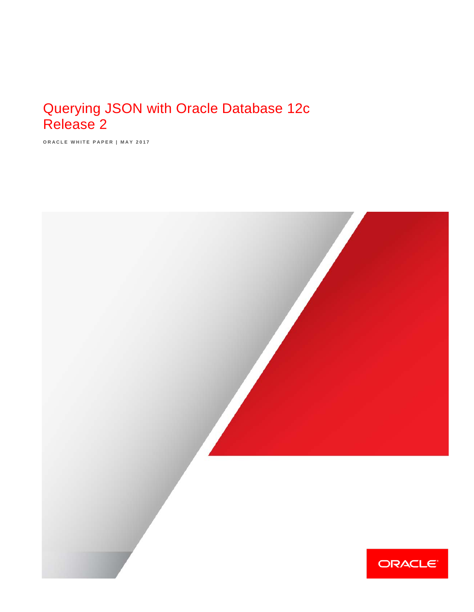# Querying JSON with Oracle Database 12c Release 2

**ORACLE WHITE PAPER | MAY 2017**

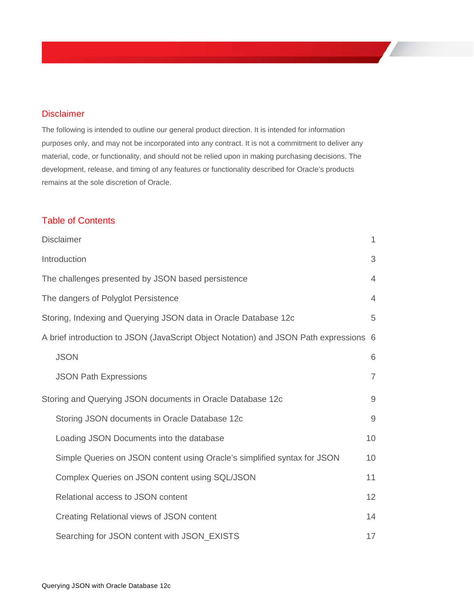### <span id="page-1-0"></span>**Disclaimer**

The following is intended to outline our general product direction. It is intended for information purposes only, and may not be incorporated into any contract. It is not a commitment to deliver any material, code, or functionality, and should not be relied upon in making purchasing decisions. The development, release, and timing of any features or functionality described for Oracle's products remains at the sole discretion of Oracle.

# Table of Contents

| <b>Disclaimer</b>                                                                     | $\mathbf{1}$   |
|---------------------------------------------------------------------------------------|----------------|
| Introduction                                                                          | 3              |
| The challenges presented by JSON based persistence                                    | $\overline{4}$ |
| The dangers of Polyglot Persistence                                                   | $\overline{4}$ |
| Storing, Indexing and Querying JSON data in Oracle Database 12c                       | 5              |
| A brief introduction to JSON (JavaScript Object Notation) and JSON Path expressions 6 |                |
| <b>JSON</b>                                                                           | 6              |
| <b>JSON Path Expressions</b>                                                          | $\overline{7}$ |
| Storing and Querying JSON documents in Oracle Database 12c                            | $9$            |
| Storing JSON documents in Oracle Database 12c                                         | $9$            |
| Loading JSON Documents into the database                                              | 10             |
| Simple Queries on JSON content using Oracle's simplified syntax for JSON              | 10             |
| Complex Queries on JSON content using SQL/JSON                                        | 11             |
| Relational access to JSON content                                                     | 12             |
| Creating Relational views of JSON content                                             | 14             |
| Searching for JSON content with JSON_EXISTS                                           | 17             |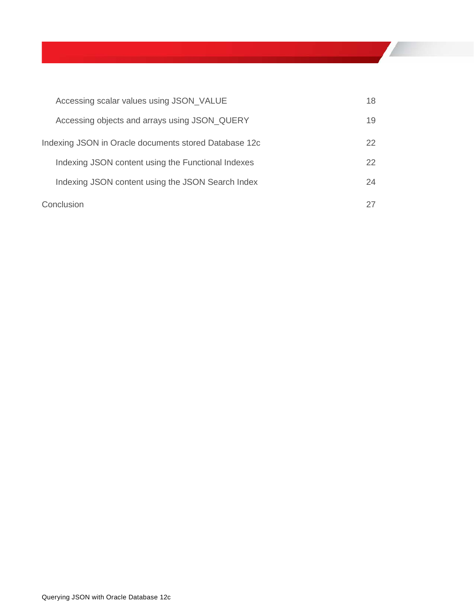| Accessing scalar values using JSON_VALUE              | 18 |
|-------------------------------------------------------|----|
| Accessing objects and arrays using JSON_QUERY         | 19 |
| Indexing JSON in Oracle documents stored Database 12c | 22 |
| Indexing JSON content using the Functional Indexes    | 22 |
| Indexing JSON content using the JSON Search Index     | 24 |
| Conclusion                                            | 27 |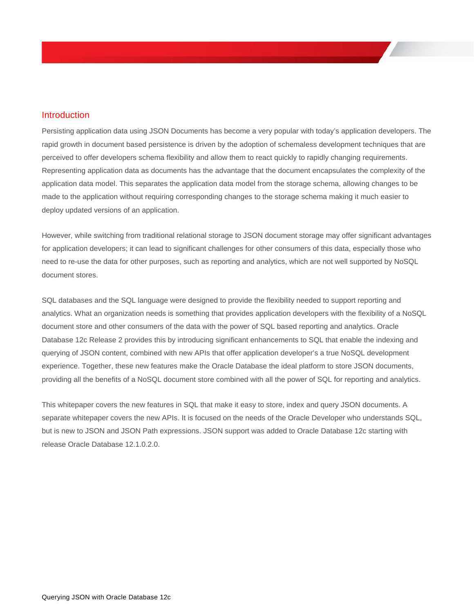### <span id="page-3-0"></span>**Introduction**

Persisting application data using JSON Documents has become a very popular with today's application developers. The rapid growth in document based persistence is driven by the adoption of schemaless development techniques that are perceived to offer developers schema flexibility and allow them to react quickly to rapidly changing requirements. Representing application data as documents has the advantage that the document encapsulates the complexity of the application data model. This separates the application data model from the storage schema, allowing changes to be made to the application without requiring corresponding changes to the storage schema making it much easier to deploy updated versions of an application.

However, while switching from traditional relational storage to JSON document storage may offer significant advantages for application developers; it can lead to significant challenges for other consumers of this data, especially those who need to re-use the data for other purposes, such as reporting and analytics, which are not well supported by NoSQL document stores.

SQL databases and the SQL language were designed to provide the flexibility needed to support reporting and analytics. What an organization needs is something that provides application developers with the flexibility of a NoSQL document store and other consumers of the data with the power of SQL based reporting and analytics. Oracle Database 12c Release 2 provides this by introducing significant enhancements to SQL that enable the indexing and querying of JSON content, combined with new APIs that offer application developer's a true NoSQL development experience. Together, these new features make the Oracle Database the ideal platform to store JSON documents, providing all the benefits of a NoSQL document store combined with all the power of SQL for reporting and analytics.

This whitepaper covers the new features in SQL that make it easy to store, index and query JSON documents. A separate whitepaper covers the new APIs. It is focused on the needs of the Oracle Developer who understands SQL, but is new to JSON and JSON Path expressions. JSON support was added to Oracle Database 12c starting with release Oracle Database 12.1.0.2.0.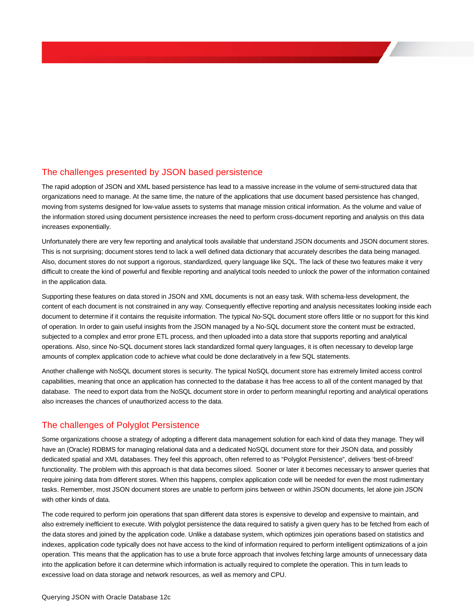### <span id="page-4-0"></span>The challenges presented by JSON based persistence

The rapid adoption of JSON and XML based persistence has lead to a massive increase in the volume of semi-structured data that organizations need to manage. At the same time, the nature of the applications that use document based persistence has changed, moving from systems designed for low-value assets to systems that manage mission critical information. As the volume and value of the information stored using document persistence increases the need to perform cross-document reporting and analysis on this data increases exponentially.

Unfortunately there are very few reporting and analytical tools available that understand JSON documents and JSON document stores. This is not surprising; document stores tend to lack a well defined data dictionary that accurately describes the data being managed. Also, document stores do not support a rigorous, standardized, query language like SQL. The lack of these two features make it very difficult to create the kind of powerful and flexible reporting and analytical tools needed to unlock the power of the information contained in the application data.

Supporting these features on data stored in JSON and XML documents is not an easy task. With schema-less development, the content of each document is not constrained in any way. Consequently effective reporting and analysis necessitates looking inside each document to determine if it contains the requisite information. The typical No-SQL document store offers little or no support for this kind of operation. In order to gain useful insights from the JSON managed by a No-SQL document store the content must be extracted, subjected to a complex and error prone ETL process, and then uploaded into a data store that supports reporting and analytical operations. Also, since No-SQL document stores lack standardized formal query languages, it is often necessary to develop large amounts of complex application code to achieve what could be done declaratively in a few SQL statements.

Another challenge with NoSQL document stores is security. The typical NoSQL document store has extremely limited access control capabilities, meaning that once an application has connected to the database it has free access to all of the content managed by that database. The need to export data from the NoSQL document store in order to perform meaningful reporting and analytical operations also increases the chances of unauthorized access to the data.

# <span id="page-4-1"></span>The challenges of Polyglot Persistence

Some organizations choose a strategy of adopting a different data management solution for each kind of data they manage. They will have an (Oracle) RDBMS for managing relational data and a dedicated NoSQL document store for their JSON data, and possibly dedicated spatial and XML databases. They feel this approach, often referred to as "Polyglot Persistence", delivers 'best-of-breed' functionality. The problem with this approach is that data becomes siloed. Sooner or later it becomes necessary to answer queries that require joining data from different stores. When this happens, complex application code will be needed for even the most rudimentary tasks. Remember, most JSON document stores are unable to perform joins between or within JSON documents, let alone join JSON with other kinds of data.

The code required to perform join operations that span different data stores is expensive to develop and expensive to maintain, and also extremely inefficient to execute. With polyglot persistence the data required to satisfy a given query has to be fetched from each of the data stores and joined by the application code. Unlike a database system, which optimizes join operations based on statistics and indexes, application code typically does not have access to the kind of information required to perform intelligent optimizations of a join operation. This means that the application has to use a brute force approach that involves fetching large amounts of unnecessary data into the application before it can determine which information is actually required to complete the operation. This in turn leads to excessive load on data storage and network resources, as well as memory and CPU.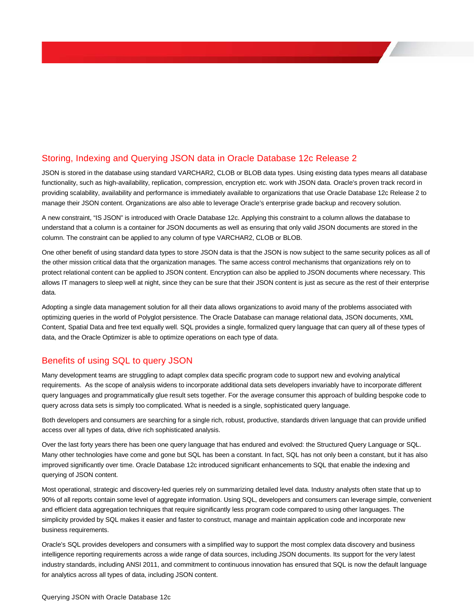# <span id="page-5-0"></span>Storing, Indexing and Querying JSON data in Oracle Database 12c Release 2

JSON is stored in the database using standard VARCHAR2, CLOB or BLOB data types. Using existing data types means all database functionality, such as high-availability, replication, compression, encryption etc. work with JSON data. Oracle's proven track record in providing scalability, availability and performance is immediately available to organizations that use Oracle Database 12c Release 2 to manage their JSON content. Organizations are also able to leverage Oracle's enterprise grade backup and recovery solution.

A new constraint, "IS JSON" is introduced with Oracle Database 12c. Applying this constraint to a column allows the database to understand that a column is a container for JSON documents as well as ensuring that only valid JSON documents are stored in the column. The constraint can be applied to any column of type VARCHAR2, CLOB or BLOB.

One other benefit of using standard data types to store JSON data is that the JSON is now subject to the same security polices as all of the other mission critical data that the organization manages. The same access control mechanisms that organizations rely on to protect relational content can be applied to JSON content. Encryption can also be applied to JSON documents where necessary. This allows IT managers to sleep well at night, since they can be sure that their JSON content is just as secure as the rest of their enterprise data.

Adopting a single data management solution for all their data allows organizations to avoid many of the problems associated with optimizing queries in the world of Polyglot persistence. The Oracle Database can manage relational data, JSON documents, XML Content, Spatial Data and free text equally well. SQL provides a single, formalized query language that can query all of these types of data, and the Oracle Optimizer is able to optimize operations on each type of data.

# Benefits of using SQL to query JSON

Many development teams are struggling to adapt complex data specific program code to support new and evolving analytical requirements. As the scope of analysis widens to incorporate additional data sets developers invariably have to incorporate different query languages and programmatically glue result sets together. For the average consumer this approach of building bespoke code to query across data sets is simply too complicated. What is needed is a single, sophisticated query language.

Both developers and consumers are searching for a single rich, robust, productive, standards driven language that can provide unified access over all types of data, drive rich sophisticated analysis.

Over the last forty years there has been one query language that has endured and evolved: the Structured Query Language or SQL. Many other technologies have come and gone but SQL has been a constant. In fact, SQL has not only been a constant, but it has also improved significantly over time. Oracle Database 12c introduced significant enhancements to SQL that enable the indexing and querying of JSON content.

Most operational, strategic and discovery-led queries rely on summarizing detailed level data. Industry analysts often state that up to 90% of all reports contain some level of aggregate information. Using SQL, developers and consumers can leverage simple, convenient and efficient data aggregation techniques that require significantly less program code compared to using other languages. The simplicity provided by SQL makes it easier and faster to construct, manage and maintain application code and incorporate new business requirements.

Oracle's SQL provides developers and consumers with a simplified way to support the most complex data discovery and business intelligence reporting requirements across a wide range of data sources, including JSON documents. Its support for the very latest industry standards, including ANSI 2011, and commitment to continuous innovation has ensured that SQL is now the default language for analytics across all types of data, including JSON content.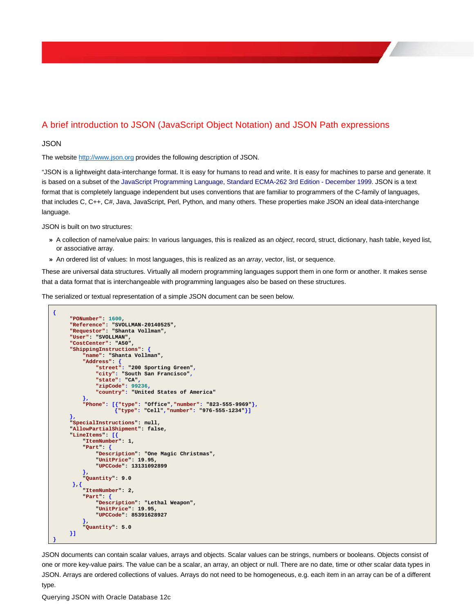# <span id="page-6-0"></span>A brief introduction to JSON (JavaScript Object Notation) and JSON Path expressions

#### <span id="page-6-1"></span>**JSON**

The websit[e http://www.json.org](http://www.json.org/) provides the following description of JSON.

"JSON is a lightweight data-interchange format. It is easy for humans to read and write. It is easy for machines to parse and generate. It is based on a subset of th[e JavaScript Programming Language,](http://javascript.crockford.com/) [Standard ECMA-262 3rd Edition -](http://www.ecma-international.org/publications/files/ecma-st/ECMA-262.pdf) December 1999. JSON is a text format that is completely language independent but uses conventions that are familiar to programmers of the C-family of languages, that includes C, C++, C#, Java, JavaScript, Perl, Python, and many others. These properties make JSON an ideal data-interchange language.

JSON is built on two structures:

- **»** A collection of name/value pairs: In various languages, this is realized as an *object*, record, struct, dictionary, hash table, keyed list, or associative array.
- **»** An ordered list of values: In most languages, this is realized as an *array*, vector, list, or sequence.

These are universal data structures. Virtually all modern programming languages support them in one form or another. It makes sense that a data format that is interchangeable with programming languages also be based on these structures.

The serialized or textual representation of a simple JSON document can be seen below.

```
{
     "PONumber": 1600,
     "Reference": "SVOLLMAN-20140525",
     "Requestor": "Shanta Vollman",
     "User": "SVOLLMAN",
     "CostCenter": "A50",
     "ShippingInstructions": {
           "name": "Shanta Vollman",
          "Address": {
               "street": "200 Sporting Green",
               "city": "South San Francisco",
               "state": "CA",
               "zipCode": 99236,
              "country": "United States of America"
          },
          "Phone": [{"type": "Office","number": "823-555-9969"},
                     {"type": "Cell","number": "976-555-1234"}]
     },
     "SpecialInstructions": null,
     "AllowPartialShipment": false,
     "LineItems": [{
           "ItemNumber": 1,
          "Part": {
               "Description": "One Magic Christmas",
               "UnitPrice": 19.95,
               "UPCCode": 13131092899
          },
           "Quantity": 9.0
       },{
           "ItemNumber": 2,
          "Part": {
               "Description": "Lethal Weapon",
               "UnitPrice": 19.95,
               "UPCCode": 85391628927
      },
 "Quantity": 5.0
     }]
}
```
JSON documents can contain scalar values, arrays and objects. Scalar values can be strings, numbers or booleans. Objects consist of one or more key-value pairs. The value can be a scalar, an array, an object or null. There are no date, time or other scalar data types in JSON. Arrays are ordered collections of values. Arrays do not need to be homogeneous, e.g. each item in an array can be of a different type.

Querying JSON with Oracle Database 12c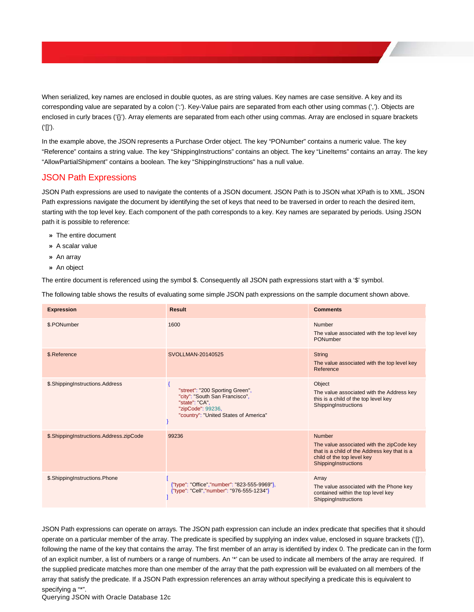When serialized, key names are enclosed in double quotes, as are string values. Key names are case sensitive. A key and its corresponding value are separated by a colon (':'). Key-Value pairs are separated from each other using commas (','). Objects are enclosed in curly braces ('{}'). Array elements are separated from each other using commas. Array are enclosed in square brackets ('[]').

In the example above, the JSON represents a Purchase Order object. The key "PONumber" contains a numeric value. The key "Reference" contains a string value. The key "ShippingInstructions" contains an object. The key "LineItems" contains an array. The key "AllowPartialShipment" contains a boolean. The key "ShippingInstructions" has a null value.

### <span id="page-7-0"></span>JSON Path Expressions

JSON Path expressions are used to navigate the contents of a JSON document. JSON Path is to JSON what XPath is to XML. JSON Path expressions navigate the document by identifying the set of keys that need to be traversed in order to reach the desired item, starting with the top level key. Each component of the path corresponds to a key. Key names are separated by periods. Using JSON path it is possible to reference:

- **»** The entire document
- **»** A scalar value
- **»** An array
- **»** An object

The entire document is referenced using the symbol \$. Consequently all JSON path expressions start with a '\$' symbol.

The following table shows the results of evaluating some simple JSON path expressions on the sample document shown above.

| <b>Expression</b>                       | <b>Result</b>                                                                                                                                     | <b>Comments</b>                                                                                                                                           |
|-----------------------------------------|---------------------------------------------------------------------------------------------------------------------------------------------------|-----------------------------------------------------------------------------------------------------------------------------------------------------------|
| \$.PONumber                             | 1600                                                                                                                                              | Number<br>The value associated with the top level key<br>PONumber                                                                                         |
| \$.Reference                            | SVOLLMAN-20140525                                                                                                                                 | <b>String</b><br>The value associated with the top level key<br>Reference                                                                                 |
| \$.ShippingInstructions.Address         | "street": "200 Sporting Green",<br>"city": "South San Francisco",<br>"state": "CA",<br>"zipCode": 99236,<br>"country": "United States of America" | Object<br>The value associated with the Address key<br>this is a child of the top level key<br>ShippingInstructions                                       |
| \$.ShippingInstructions.Address.zipCode | 99236                                                                                                                                             | Number<br>The value associated with the zipCode key<br>that is a child of the Address key that is a<br>child of the top level key<br>ShippingInstructions |
| \$.ShippingInstructions.Phone           | {"type": "Office","number": "823-555-9969"},<br>{"type": "Cell","number": "976-555-1234"}                                                         | Array<br>The value associated with the Phone key<br>contained within the top level key<br>ShippingInstructions                                            |

JSON Path expressions can operate on arrays. The JSON path expression can include an index predicate that specifies that it should operate on a particular member of the array. The predicate is specified by supplying an index value, enclosed in square brackets ('[]'), following the name of the key that contains the array. The first member of an array is identified by index 0. The predicate can in the form of an explicit number, a list of numbers or a range of numbers. An '\*' can be used to indicate all members of the array are required. If the supplied predicate matches more than one member of the array that the path expression will be evaluated on all members of the array that satisfy the predicate. If a JSON Path expression references an array without specifying a predicate this is equivalent to specifying a "\*".

Querying JSON with Oracle Database 12c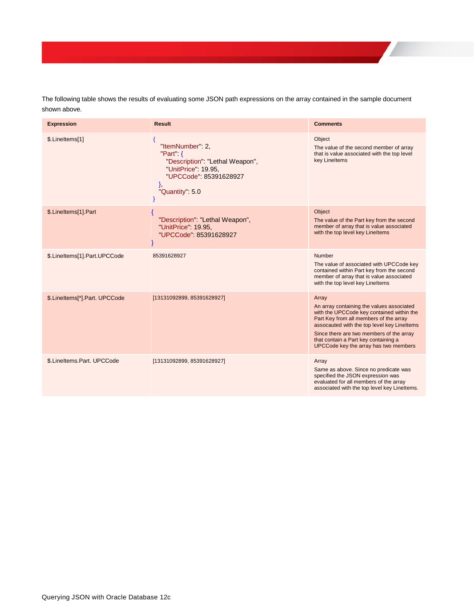The following table shows the results of evaluating some JSON path expressions on the array contained in the sample document shown above.

| <b>Expression</b>             | <b>Result</b>                                                                                                                                   | <b>Comments</b>                                                                                                                                                                                                                                                                                                       |
|-------------------------------|-------------------------------------------------------------------------------------------------------------------------------------------------|-----------------------------------------------------------------------------------------------------------------------------------------------------------------------------------------------------------------------------------------------------------------------------------------------------------------------|
| \$.LineItems[1]               | "ItemNumber": 2,<br>$Part \{$<br>"Description": "Lethal Weapon",<br>"UnitPrice": 19.95,<br>"UPCCode": 85391628927<br>},<br>"Quantity": 5.0<br>₹ | Object<br>The value of the second member of array<br>that is value associated with the top level<br>key Lineltems                                                                                                                                                                                                     |
| \$.LineItems[1].Part          | "Description": "Lethal Weapon",<br>"UnitPrice": 19.95,<br>"UPCCode": 85391628927                                                                | Object<br>The value of the Part key from the second<br>member of array that is value associated<br>with the top level key Lineltems                                                                                                                                                                                   |
| \$.LineItems[1].Part.UPCCode  | 85391628927                                                                                                                                     | Number<br>The value of associated with UPCCode key<br>contained within Part key from the second<br>member of array that is value associated<br>with the top level key Lineltems                                                                                                                                       |
| \$.LineItems[*].Part. UPCCode | [13131092899, 85391628927]                                                                                                                      | Array<br>An array containing the values associated<br>with the UPCCode key contained within the<br>Part Key from all members of the array<br>assocauted with the top level key Lineltems<br>Since there are two members of the array<br>that contain a Part key containing a<br>UPCCode key the array has two members |
| \$.LineItems.Part. UPCCode    | [13131092899, 85391628927]                                                                                                                      | Array<br>Same as above. Since no predicate was<br>specified the JSON expression was<br>evaluated for all members of the array<br>associated with the top level key Lineltems.                                                                                                                                         |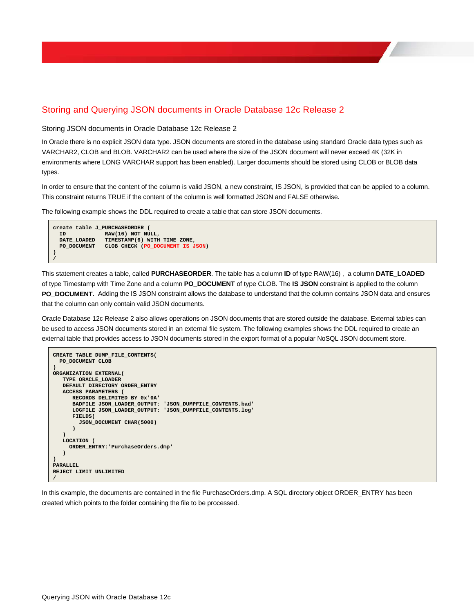# <span id="page-9-0"></span>Storing and Querying JSON documents in Oracle Database 12c Release 2

<span id="page-9-1"></span>Storing JSON documents in Oracle Database 12c Release 2

In Oracle there is no explicit JSON data type. JSON documents are stored in the database using standard Oracle data types such as VARCHAR2, CLOB and BLOB. VARCHAR2 can be used where the size of the JSON document will never exceed 4K (32K in environments where LONG VARCHAR support has been enabled). Larger documents should be stored using CLOB or BLOB data types.

In order to ensure that the content of the column is valid JSON, a new constraint, IS JSON, is provided that can be applied to a column. This constraint returns TRUE if the content of the column is well formatted JSON and FALSE otherwise.

The following example shows the DDL required to create a table that can store JSON documents.

```
create table J_PURCHASEORDER (
 ID RAW(16) NOT NULL,
 DATE_LOADED TIMESTAMP(6) WITH TIME ZONE,
  PO_DOCUMENT CLOB CHECK (PO_DOCUMENT IS JSON)
)
/
```
This statement creates a table, called **PURCHASEORDER**. The table has a column **ID** of type RAW(16) , a column **DATE\_LOADED**  of type Timestamp with Time Zone and a column **PO\_DOCUMENT** of type CLOB. The **IS JSON** constraint is applied to the column **PO\_DOCUMENT.** Adding the IS JSON constraint allows the database to understand that the column contains JSON data and ensures that the column can only contain valid JSON documents.

Oracle Database 12c Release 2 also allows operations on JSON documents that are stored outside the database. External tables can be used to access JSON documents stored in an external file system. The following examples shows the DDL required to create an external table that provides access to JSON documents stored in the export format of a popular NoSQL JSON document store.

```
CREATE TABLE DUMP_FILE_CONTENTS(
  PO_DOCUMENT CLOB
)
ORGANIZATION EXTERNAL(
    TYPE ORACLE_LOADER
    DEFAULT DIRECTORY ORDER_ENTRY
    ACCESS PARAMETERS (
       RECORDS DELIMITED BY 0x'0A' 
       BADFILE JSON_LOADER_OUTPUT: 'JSON_DUMPFILE_CONTENTS.bad'
       LOGFILE JSON_LOADER_OUTPUT: 'JSON_DUMPFILE_CONTENTS.log'
       FIELDS(
         JSON_DOCUMENT CHAR(5000)
       ) 
 )
    LOCATION (
      ORDER_ENTRY:'PurchaseOrders.dmp'
    )
)
PARALLEL
REJECT LIMIT UNLIMITED
/
```
In this example, the documents are contained in the file PurchaseOrders.dmp. A SQL directory object ORDER\_ENTRY has been created which points to the folder containing the file to be processed.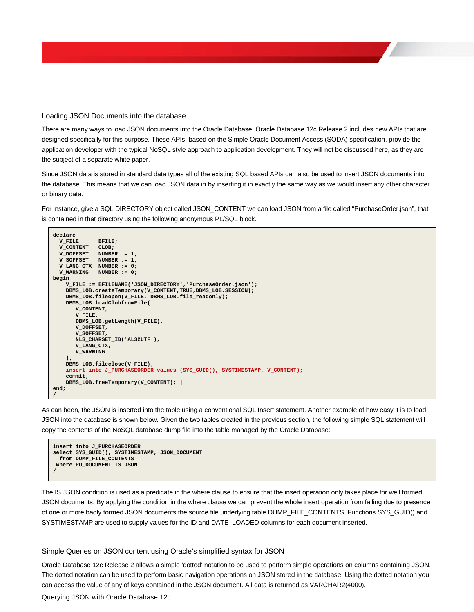<span id="page-10-0"></span>Loading JSON Documents into the database

There are many ways to load JSON documents into the Oracle Database. Oracle Database 12c Release 2 includes new APIs that are designed specifically for this purpose. These APIs, based on the Simple Oracle Document Access (SODA) specification, provide the application developer with the typical NoSQL style approach to application development. They will not be discussed here, as they are the subject of a separate white paper.

Since JSON data is stored in standard data types all of the existing SQL based APIs can also be used to insert JSON documents into the database. This means that we can load JSON data in by inserting it in exactly the same way as we would insert any other character or binary data.

For instance, give a SQL DIRECTORY object called JSON\_CONTENT we can load JSON from a file called "PurchaseOrder.json", that is contained in that directory using the following anonymous PL/SQL block.

```
declare
 V_FILE BFILE;
 V_CONTENT CLOB;
 V_DOFFSET NUMBER := 1;
 V_SOFFSET NUMBER := 1;
  V_LANG_CTX NUMBER := 0;
  V_WARNING NUMBER := 0;
begin
     V_FILE := BFILENAME('JSON_DIRECTORY','PurchaseOrder.json');
     DBMS_LOB.createTemporary(V_CONTENT,TRUE,DBMS_LOB.SESSION);
     DBMS_LOB.fileopen(V_FILE, DBMS_LOB.file_readonly);
     DBMS_LOB.loadClobfromFile(
        V_CONTENT,
        V_FILE,
        DBMS_LOB.getLength(V_FILE),
        V_DOFFSET,
        V_SOFFSET,
        NLS_CHARSET_ID('AL32UTF'),
        V_LANG_CTX,
        V_WARNING
     );
     DBMS_LOB.fileclose(V_FILE);
     insert into J_PURCHASEORDER values (SYS_GUID(), SYSTIMESTAMP, V_CONTENT);
     commit;
     DBMS_LOB.freeTemporary(V_CONTENT); |
end;
/
```
As can been, the JSON is inserted into the table using a conventional SQL Insert statement. Another example of how easy it is to load JSON into the database is shown below. Given the two tables created in the previous section, the following simple SQL statement will copy the contents of the NoSQL database dump file into the table managed by the Oracle Database:

```
insert into J_PURCHASEORDER
select SYS_GUID(), SYSTIMESTAMP, JSON_DOCUMENT 
  from DUMP_FILE_CONTENTS
 where PO_DOCUMENT IS JSON
/
```
The IS JSON condition is used as a predicate in the where clause to ensure that the insert operation only takes place for well formed JSON documents. By applying the condition in the where clause we can prevent the whole insert operation from failing due to presence of one or more badly formed JSON documents the source file underlying table DUMP\_FILE\_CONTENTS. Functions SYS\_GUID() and SYSTIMESTAMP are used to supply values for the ID and DATE\_LOADED columns for each document inserted.

<span id="page-10-1"></span>Simple Queries on JSON content using Oracle's simplified syntax for JSON

Oracle Database 12c Release 2 allows a simple 'dotted' notation to be used to perform simple operations on columns containing JSON. The dotted notation can be used to perform basic navigation operations on JSON stored in the database. Using the dotted notation you can access the value of any of keys contained in the JSON document. All data is returned as VARCHAR2(4000).

Querying JSON with Oracle Database 12c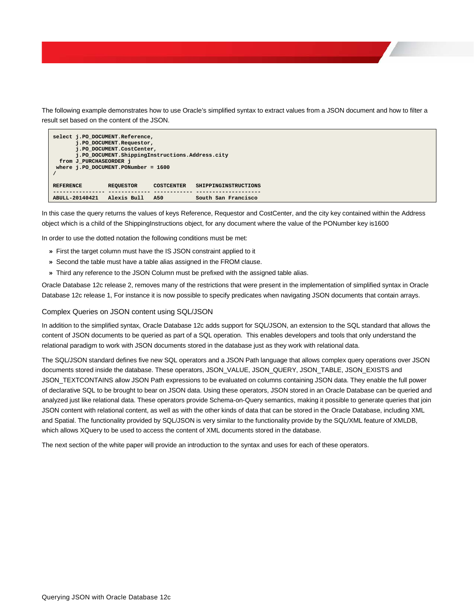The following example demonstrates how to use Oracle's simplified syntax to extract values from a JSON document and how to filter a result set based on the content of the JSON.

```
select j.PO_DOCUMENT.Reference,
        j.PO_DOCUMENT.Requestor,
       j.PO_DOCUMENT.CostCenter,
       j.PO_DOCUMENT.ShippingInstructions.Address.city
  from J_PURCHASEORDER j
where j.PO_DOCUMENT.PONumber = 1600
/
REFERENCE REQUESTOR COSTCENTER SHIPPINGINSTRUCTIONS
---------------- ------------- ------------ --------------------
ABULL-20140421 Alexis Bull A50 South San Francisco
```
In this case the query returns the values of keys Reference, Requestor and CostCenter, and the city key contained within the Address object which is a child of the ShippingInstructions object, for any document where the value of the PONumber key is1600

In order to use the dotted notation the following conditions must be met:

- **»** First the target column must have the IS JSON constraint applied to it
- **»** Second the table must have a table alias assigned in the FROM clause.
- **»** Third any reference to the JSON Column must be prefixed with the assigned table alias.

Oracle Database 12c release 2, removes many of the restrictions that were present in the implementation of simplified syntax in Oracle Database 12c release 1, For instance it is now possible to specify predicates when navigating JSON documents that contain arrays.

#### <span id="page-11-0"></span>Complex Queries on JSON content using SQL/JSON

In addition to the simplified syntax, Oracle Database 12c adds support for SQL/JSON, an extension to the SQL standard that allows the content of JSON documents to be queried as part of a SQL operation. This enables developers and tools that only understand the relational paradigm to work with JSON documents stored in the database just as they work with relational data.

The SQL/JSON standard defines five new SQL operators and a JSON Path language that allows complex query operations over JSON documents stored inside the database. These operators, JSON\_VALUE, JSON\_QUERY, JSON\_TABLE, JSON\_EXISTS and JSON\_TEXTCONTAINS allow JSON Path expressions to be evaluated on columns containing JSON data. They enable the full power of declarative SQL to be brought to bear on JSON data. Using these operators, JSON stored in an Oracle Database can be queried and analyzed just like relational data. These operators provide Schema-on-Query semantics, making it possible to generate queries that join JSON content with relational content, as well as with the other kinds of data that can be stored in the Oracle Database, including XML and Spatial. The functionality provided by SQL/JSON is very similar to the functionality provide by the SQL/XML feature of XMLDB, which allows XQuery to be used to access the content of XML documents stored in the database.

The next section of the white paper will provide an introduction to the syntax and uses for each of these operators.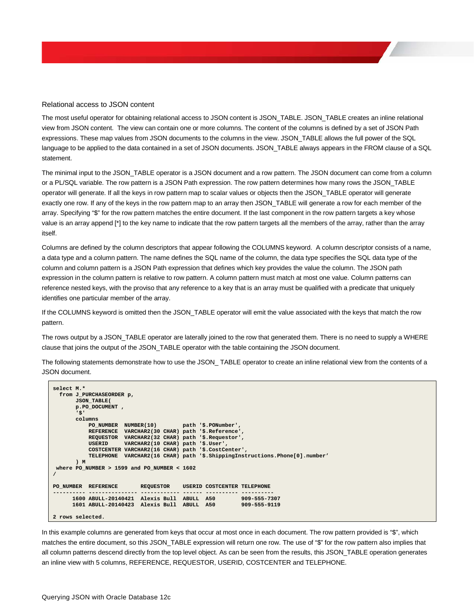#### <span id="page-12-0"></span>Relational access to JSON content

The most useful operator for obtaining relational access to JSON content is JSON\_TABLE. JSON\_TABLE creates an inline relational view from JSON content. The view can contain one or more columns. The content of the columns is defined by a set of JSON Path expressions. These map values from JSON documents to the columns in the view. JSON\_TABLE allows the full power of the SQL language to be applied to the data contained in a set of JSON documents. JSON\_TABLE always appears in the FROM clause of a SQL statement.

The minimal input to the JSON\_TABLE operator is a JSON document and a row pattern. The JSON document can come from a column or a PL/SQL variable. The row pattern is a JSON Path expression. The row pattern determines how many rows the JSON\_TABLE operator will generate. If all the keys in row pattern map to scalar values or objects then the JSON\_TABLE operator will generate exactly one row. If any of the keys in the row pattern map to an array then JSON\_TABLE will generate a row for each member of the array. Specifying "\$" for the row pattern matches the entire document. If the last component in the row pattern targets a key whose value is an array append [\*] to the key name to indicate that the row pattern targets all the members of the array, rather than the array itself.

Columns are defined by the column descriptors that appear following the COLUMNS keyword. A column descriptor consists of a name, a data type and a column pattern. The name defines the SQL name of the column, the data type specifies the SQL data type of the column and column pattern is a JSON Path expression that defines which key provides the value the column. The JSON path expression in the column pattern is relative to row pattern. A column pattern must match at most one value. Column patterns can reference nested keys, with the proviso that any reference to a key that is an array must be qualified with a predicate that uniquely identifies one particular member of the array.

If the COLUMNS keyword is omitted then the JSON\_TABLE operator will emit the value associated with the keys that match the row pattern.

The rows output by a JSON\_TABLE operator are laterally joined to the row that generated them. There is no need to supply a WHERE clause that joins the output of the JSON\_TABLE operator with the table containing the JSON document.

The following statements demonstrate how to use the JSON\_ TABLE operator to create an inline relational view from the contents of a JSON document.

```
select M.*
   from J_PURCHASEORDER p,
         JSON_TABLE(
         p.PO_DOCUMENT ,
          '$' 
         columns 
 PO_NUMBER NUMBER(10) path '$.PONumber',
 REFERENCE VARCHAR2(30 CHAR) path '$.Reference',
              REQUESTOR VARCHAR2(32 CHAR) path '$.Requestor',
                            USERID VARCHAR2(10 CHAR) path '$.User',
               COSTCENTER VARCHAR2(16 CHAR) path '$.CostCenter',
              TELEPHONE VARCHAR2(16 CHAR) path '$.ShippingInstructions.Phone[0].number'
          ) M
 where PO_NUMBER > 1599 and PO_NUMBER < 1602
/
PO_NUMBER REFERENCE REQUESTOR USERID COSTCENTER TELEPHONE
---------- --------------- ------------ ------ ---------- ----------
 1600 ABULL-20140421 Alexis Bull ABULL A50 909-555-7307
 1601 ABULL-20140423 Alexis Bull ABULL A50 909-555-9119
2 rows selected.
```
In this example columns are generated from keys that occur at most once in each document. The row pattern provided is "\$", which matches the entire document, so this JSON\_TABLE expression will return one row. The use of "\$" for the row pattern also implies that all column patterns descend directly from the top level object. As can be seen from the results, this JSON\_TABLE operation generates an inline view with 5 columns, REFERENCE, REQUESTOR, USERID, COSTCENTER and TELEPHONE.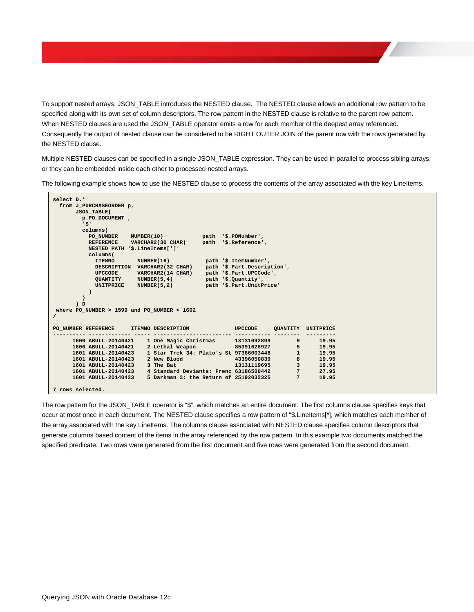To support nested arrays, JSON\_TABLE introduces the NESTED clause. The NESTED clause allows an additional row pattern to be specified along with its own set of column descriptors. The row pattern in the NESTED clause is relative to the parent row pattern. When NESTED clauses are used the JSON\_TABLE operator emits a row for each member of the deepest array referenced. Consequently the output of nested clause can be considered to be RIGHT OUTER JOIN of the parent row with the rows generated by the NESTED clause.

Multiple NESTED clauses can be specified in a single JSON\_TABLE expression. They can be used in parallel to process sibling arrays, or they can be embedded inside each other to processed nested arrays.

The following example shows how to use the NESTED clause to process the contents of the array associated with the key LineItems.

```
select D.*
   from J_PURCHASEORDER p,
         JSON_TABLE(
            p.PO_DOCUMENT ,
              '$' 
             columns(
 PO_NUMBER NUMBER(10) path '$.PONumber',
 REFERENCE VARCHAR2(30 CHAR) path '$.Reference',
               NESTED PATH '$.LineItems[*]'
               columns(
                                   NUMBER(16) path '$.ItemNumber',
                 DESCRIPTION VARCHAR2(32 CHAR) path '$.Part.Description',<br>
UPCCODE VARCHAR2(14 CHAR) path '$.Part.UPCCode',
 UPCCODE VARCHAR2(14 CHAR) path '$.Part.UPCCode', 
 QUANTITY NUMBER(5,4) path '$.Quantity', 
                  UNITPRICE NUMBER(5,2) path '$.Part.UnitPrice'
 )
 )
          ) D
 where PO_NUMBER > 1599 and PO_NUMBER < 1602
/
PO_NUMBER REFERENCE ITEMNO DESCRIPTION UPCCODE QUANTITY UNITPRICE
---------- ------------- ----- ------------------------ ----------- -------- --------- 
 1600 ABULL-20140421 1 One Magic Christmas 13131092899 9 19.95
 1600 ABULL-20140421 2 Lethal Weapon 85391628927 5 19.95
 1601 ABULL-20140423 1 Star Trek 34: Plato's St 97366003448 1 19.95
 1601 ABULL-20140423 2 New Blood 43396050839 8 19.95
       1601 ABULL-20140423 3 The Bat 13131119695 3 19.95<br>1601 ABULL-20140423 3 The Bat 13131119695 3 19.95<br>1601 ABULL-20140423 4 Standard Deviants: Frenc 63186500442 7 27.95
 1601 ABULL-20140423 4 Standard Deviants: Frenc 63186500442 7 27.95
 1601 ABULL-20140423 5 Darkman 2: the Return of 25192032325 7 19.95
7 rows selected.
```
The row pattern for the JSON\_TABLE operator is "\$", which matches an entire document. The first columns clause specifies keys that occur at most once in each document. The NESTED clause specifies a row pattern of "\$.LineItems[\*], which matches each member of the array associated with the key LineItems. The columns clause associated with NESTED clause specifies column descriptors that generate columns based content of the items in the array referenced by the row pattern. In this example two documents matched the specified predicate. Two rows were generated from the first document and five rows were generated from the second document.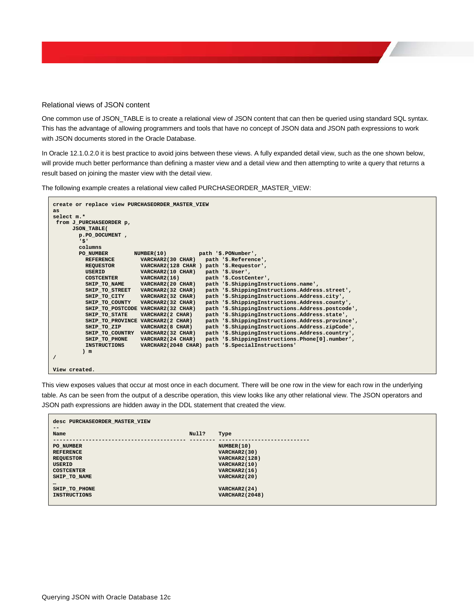#### <span id="page-14-0"></span>Relational views of JSON content

One common use of JSON\_TABLE is to create a relational view of JSON content that can then be queried using standard SQL syntax. This has the advantage of allowing programmers and tools that have no concept of JSON data and JSON path expressions to work with JSON documents stored in the Oracle Database.

In Oracle 12.1.0.2.0 it is best practice to avoid joins between these views. A fully expanded detail view, such as the one shown below, will provide much better performance than defining a master view and a detail view and then attempting to write a query that returns a result based on joining the master view with the detail view.

The following example creates a relational view called PURCHASEORDER\_MASTER\_VIEW:

```
create or replace view PURCHASEORDER_MASTER_VIEW
as
select m.* 
 from J_PURCHASEORDER p,
        JSON_TABLE(
          p.PO_DOCUMENT ,
            '$'
           columns 
 PO_NUMBER NUMBER(10) path '$.PONumber',
 REFERENCE VARCHAR2(30 CHAR) path '$.Reference',
REQUESTOR VARCHAR2(128 CHAR ) path '$.Requestor',<br>
USERID VARCHAR2(10 CHAR) path '$.User',<br>
COSTCENTER VARCHAR2(16) path '$.CostCenter',<br>
SHIP_TO_NAME VARCHAR2(20 CHAR) path '$.ShippingInstructions.name',<br>
SHIP_TO_STREET V
 SHIP_TO_COUNTY VARCHAR2(32 CHAR) path '$.ShippingInstructions.Address.county',
 SHIP_TO_POSTCODE VARCHAR2(32 CHAR) path '$.ShippingInstructions.Address.postcode',
 SHIP_TO_STATE VARCHAR2(2 CHAR) path '$.ShippingInstructions.Address.state',
 SHIP_TO_PROVINCE VARCHAR2(2 CHAR) path '$.ShippingInstructions.Address.province',
             SHIP_TO_ZIP VARCHAR2(8 CHAR) path '$.ShippingInstructions.Address.zipCode',
             SHIP_TO_COUNTRY VARCHAR2(32 CHAR) path '$.ShippingInstructions.Address.country',
 SHIP_TO_PHONE VARCHAR2(24 CHAR) path '$.ShippingInstructions.Phone[0].number',
 INSTRUCTIONS VARCHAR2(2048 CHAR) path '$.SpecialInstructions'
            ) m
/
View created.
```
This view exposes values that occur at most once in each document. There will be one row in the view for each row in the underlying table. As can be seen from the output of a describe operation, this view looks like any other relational view. The JSON operators and JSON path expressions are hidden away in the DDL statement that created the view.

| desc PURCHASEORDER MASTER VIEW |       |                       |
|--------------------------------|-------|-----------------------|
| $- -$                          |       |                       |
| Name                           | Null? | Type                  |
| PO NUMBER                      |       | NUMBER(10)            |
| <b>REFERENCE</b>               |       | VARCHAR2(30)          |
| <b>REQUESTOR</b>               |       | <b>VARCHAR2(128)</b>  |
| <b>USERID</b>                  |       | VARCHAR2(10)          |
| <b>COSTCENTER</b>              |       | VARCHAR2(16)          |
| SHIP TO NAME                   |       | VARCHAR2(20)          |
|                                |       |                       |
| SHIP TO PHONE                  |       | VARCHAR2(24)          |
| <b>INSTRUCTIONS</b>            |       | <b>VARCHAR2(2048)</b> |
|                                |       |                       |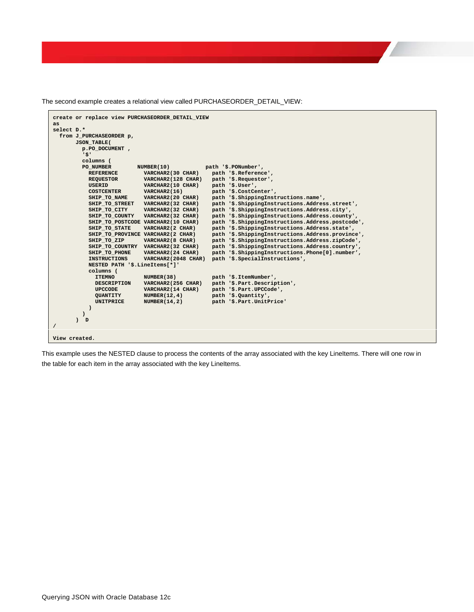The second example creates a relational view called PURCHASEORDER\_DETAIL\_VIEW:



This example uses the NESTED clause to process the contents of the array associated with the key LineItems. There will one row in the table for each item in the array associated with the key LineItems.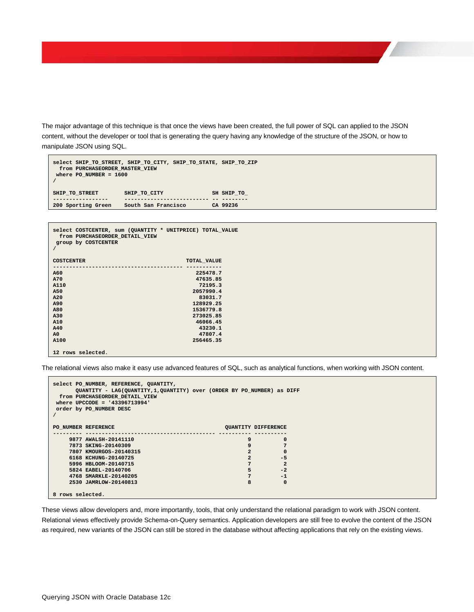The major advantage of this technique is that once the views have been created, the full power of SQL can applied to the JSON content, without the developer or tool that is generating the query having any knowledge of the structure of the JSON, or how to manipulate JSON using SQL.

```
select SHIP_TO_STREET, SHIP_TO_CITY, SHIP_TO_STATE, SHIP_TO_ZIP
  from PURCHASEORDER_MASTER_VIEW
where PO_NUMBER = 1600
/
SHIP_TO_STREET SHIP_TO_CITY SH SHIP_TO_
----------------- -------------------------- -- --------
                     200 Sporting Green South San Francisco CA 99236
```

```
select COSTCENTER, sum (QUANTITY * UNITPRICE) TOTAL_VALUE
 from PURCHASEORDER_DETAIL_VIEW
group by COSTCENTER
/
COSTCENTER TOTAL_VALUE
---------------------------------------- -----------
A60 225478.7
A70 47635.85
A110 72195.3
A50 2057990.4
A20 83031.7
A90 128929.25
A80 1536779.8
A30 273025.85
A10 46066.45
A40 43230.1
A0 47807.4
                    A100 256465.35
12 rows selected.
```
The relational views also make it easy use advanced features of SQL, such as analytical functions, when working with JSON content.

```
select PO_NUMBER, REFERENCE, QUANTITY, 
       QUANTITY - LAG(QUANTITY,1,QUANTITY) over (ORDER BY PO_NUMBER) as DIFF
  from PURCHASEORDER_DETAIL_VIEW
where UPCCODE = '43396713994'
order by PO_NUMBER DESC
/
PO_NUMBER_REFERENCE \qquad \qquad \qquad \qquad \qquad \qquad \qquad \qquad \qquad \qquad \qquad \qquad \qquad \qquad \qquad \qquad \qquad \qquad \qquad \qquad \qquad \qquad \qquad \qquad \qquad \qquad \qquad \qquad \qquad \qquad \qquad \qquad \qquad \qquad \qquad \qquad \--------- ---------------------------------------- ---------- ---------- 
     9877 AWALSH-20141110 9 0
     7873 SKING-20140309 9 7
     7807 KMOURGOS-20140315 2 0
     6168 KCHUNG-20140725 2 -5
     5996 HBLOOM-20140715 7 2
    5824 EABEL-20140706 5 -2<br>
4768 SMARKLE-20140205 5 -2<br>
4768 SMARKLE-20140205 5
      4768 SMARKLE-20140205 7 -1
      2530 JAMRLOW-20140813 8 0
8 rows selected.
```
These views allow developers and, more importantly, tools, that only understand the relational paradigm to work with JSON content. Relational views effectively provide Schema-on-Query semantics. Application developers are still free to evolve the content of the JSON as required, new variants of the JSON can still be stored in the database without affecting applications that rely on the existing views.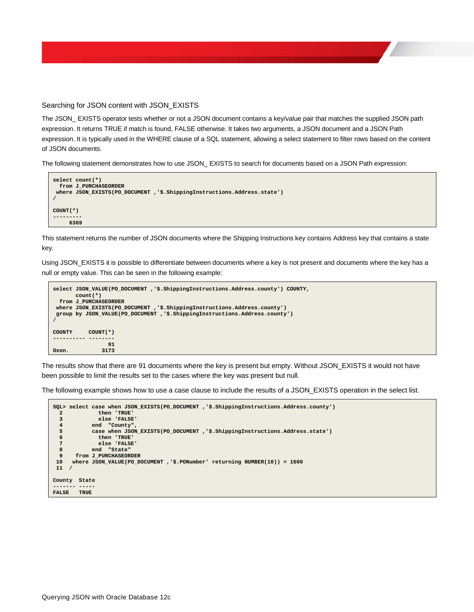#### <span id="page-17-0"></span>Searching for JSON content with JSON\_EXISTS

The JSON\_ EXISTS operator tests whether or not a JSON document contains a key/value pair that matches the supplied JSON path expression. It returns TRUE if match is found, FALSE otherwise. It takes two arguments, a JSON document and a JSON Path expression. It is typically used in the WHERE clause of a SQL statement, allowing a select statement to filter rows based on the content of JSON documents.

The following statement demonstrates how to use JSON\_ EXISTS to search for documents based on a JSON Path expression:



This statement returns the number of JSON documents where the Shipping Instructions key contains Address key that contains a state key.

Using JSON\_EXISTS it is possible to differentiate between documents where a key is not present and documents where the key has a null or empty value. This can be seen in the following example:

```
select JSON_VALUE(PO_DOCUMENT ,'$.ShippingInstructions.Address.county') COUNTY,
       count(*)
   from J_PURCHASEORDER
 where JSON_EXISTS(PO_DOCUMENT ,'$.ShippingInstructions.Address.county')
 group by JSON_VALUE(PO_DOCUMENT ,'$.ShippingInstructions.Address.county') 
/
COUNTY COUNT(*)
---------- --------
91
Oxon. 3173
```
The results show that there are 91 documents where the key is present but empty. Without JSON\_EXISTS it would not have been possible to limit the results set to the cases where the key was present but null.

The following example shows how to use a case clause to include the results of a JSON\_EXISTS operation in the select list.

```
SQL> select case when JSON_EXISTS(PO_DOCUMENT ,'$.ShippingInstructions.Address.county')
  2 then 'TRUE'
  a a cluster interest.<br>
4 end "County".
 4 end "County",<br>5 case when JSON
   5 case when JSON_EXISTS(PO_DOCUMENT ,'$.ShippingInstructions.Address.state')
   6 then 'TRUE'
  7 else 'FALSE'
 8 end "State"<br>9 from J PURCHASEOR
9 from J_PURCHASEORDER<br>10 where JSON VALUE(PO DO
    10 where JSON_VALUE(PO_DOCUMENT ,'$.PONumber' returning NUMBER(10)) = 1600
11 /
County State
------- -----
FALSE TRUE
```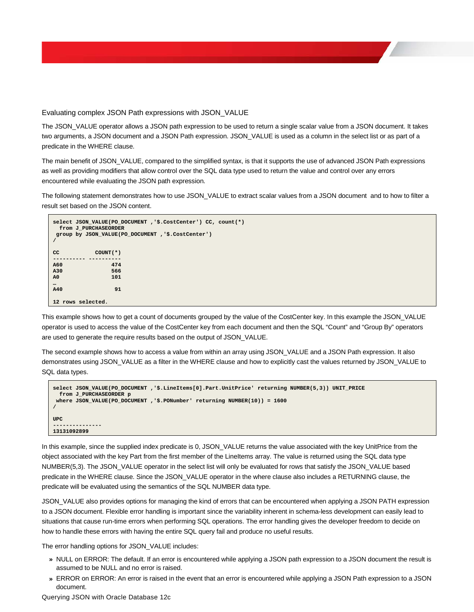#### <span id="page-18-0"></span>Evaluating complex JSON Path expressions with JSON\_VALUE

The JSON\_VALUE operator allows a JSON path expression to be used to return a single scalar value from a JSON document. It takes two arguments, a JSON document and a JSON Path expression. JSON\_VALUE is used as a column in the select list or as part of a predicate in the WHERE clause.

The main benefit of JSON\_VALUE, compared to the simplified syntax, is that it supports the use of advanced JSON Path expressions as well as providing modifiers that allow control over the SQL data type used to return the value and control over any errors encountered while evaluating the JSON path expression.

The following statement demonstrates how to use JSON\_VALUE to extract scalar values from a JSON document and to how to filter a result set based on the JSON content.

```
select JSON_VALUE(PO_DOCUMENT ,'$.CostCenter') CC, count(*)
  from J_PURCHASEORDER
group by JSON_VALUE(PO_DOCUMENT ,'$.CostCenter')
/
CC COUNT(*)
---------- ----------
A60 474
A30 566
A0 101
…
A40 91
12 rows selected.
```
This example shows how to get a count of documents grouped by the value of the CostCenter key. In this example the JSON\_VALUE operator is used to access the value of the CostCenter key from each document and then the SQL "Count" and "Group By" operators are used to generate the require results based on the output of JSON\_VALUE.

The second example shows how to access a value from within an array using JSON\_VALUE and a JSON Path expression. It also demonstrates using JSON\_VALUE as a filter in the WHERE clause and how to explicitly cast the values returned by JSON\_VALUE to SQL data types.

```
select JSON_VALUE(PO_DOCUMENT ,'$.LineItems[0].Part.UnitPrice' returning NUMBER(5,3)) UNIT_PRICE
  from J_PURCHASEORDER p
where JSON_VALUE(PO_DOCUMENT ,'$.PONumber' returning NUMBER(10)) = 1600
/
UPC
---------------
13131092899
```
In this example, since the supplied index predicate is 0, JSON\_VALUE returns the value associated with the key UnitPrice from the object associated with the key Part from the first member of the LineItems array. The value is returned using the SQL data type NUMBER(5,3). The JSON\_VALUE operator in the select list will only be evaluated for rows that satisfy the JSON\_VALUE based predicate in the WHERE clause. Since the JSON\_VALUE operator in the where clause also includes a RETURNING clause, the predicate will be evaluated using the semantics of the SQL NUMBER data type.

JSON\_VALUE also provides options for managing the kind of errors that can be encountered when applying a JSON PATH expression to a JSON document. Flexible error handling is important since the variability inherent in schema-less development can easily lead to situations that cause run-time errors when performing SQL operations. The error handling gives the developer freedom to decide on how to handle these errors with having the entire SQL query fail and produce no useful results.

The error handling options for JSON\_VALUE includes:

- **»** NULL on ERROR: The default. If an error is encountered while applying a JSON path expression to a JSON document the result is assumed to be NULL and no error is raised.
- **»** ERROR on ERROR: An error is raised in the event that an error is encountered while applying a JSON Path expression to a JSON document.

Querying JSON with Oracle Database 12c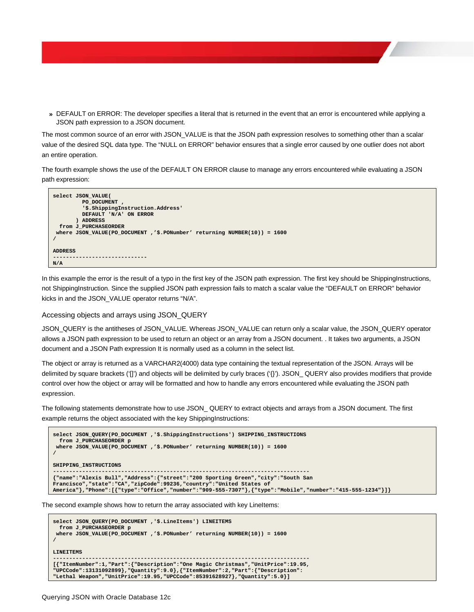**»** DEFAULT on ERROR: The developer specifies a literal that is returned in the event that an error is encountered while applying a JSON path expression to a JSON document.

The most common source of an error with JSON\_VALUE is that the JSON path expression resolves to something other than a scalar value of the desired SQL data type. The "NULL on ERROR" behavior ensures that a single error caused by one outlier does not abort an entire operation.

The fourth example shows the use of the DEFAULT ON ERROR clause to manage any errors encountered while evaluating a JSON path expression:

```
select JSON_VALUE(
          PO_DOCUMENT ,
           '$.ShippingInstruction.Address' 
          DEFAULT 'N/A' ON ERROR
        ) ADDRESS
  from J_PURCHASEORDER
where JSON_VALUE(PO_DOCUMENT ,'$.PONumber' returning NUMBER(10)) = 1600
/
ADDRESS
        -----------------------------
N/A
```
In this example the error is the result of a typo in the first key of the JSON path expression. The first key should be ShippingInstructions, not ShippingInstruction. Since the supplied JSON path expression fails to match a scalar value the "DEFAULT on ERROR" behavior kicks in and the JSON\_VALUE operator returns "N/A".

#### <span id="page-19-0"></span>Accessing objects and arrays using JSON\_QUERY

JSON\_QUERY is the antitheses of JSON\_VALUE. Whereas JSON\_VALUE can return only a scalar value, the JSON\_QUERY operator allows a JSON path expression to be used to return an object or an array from a JSON document. . It takes two arguments, a JSON document and a JSON Path expression It is normally used as a column in the select list.

The object or array is returned as a VARCHAR2(4000) data type containing the textual representation of the JSON. Arrays will be delimited by square brackets ('[]') and objects will be delimited by curly braces ('{}'). JSON\_ QUERY also provides modifiers that provide control over how the object or array will be formatted and how to handle any errors encountered while evaluating the JSON path expression.

The following statements demonstrate how to use JSON\_ QUERY to extract objects and arrays from a JSON document. The first example returns the object associated with the key ShippingInstructions:

```
select JSON_QUERY(PO_DOCUMENT ,'$.ShippingInstructions') SHIPPING_INSTRUCTIONS
  from J_PURCHASEORDER p
 where JSON_VALUE(PO_DOCUMENT ,'$.PONumber' returning NUMBER(10)) = 1600
/
SHIPPING_INSTRUCTIONS
-------------------------------------------------------------------------------
{"name":"Alexis Bull","Address":{"street":"200 Sporting Green","city":"South San 
Francisco","state":"CA","zipCode":99236,"country":"United States of 
America"},"Phone":[{"type":"Office","number":"909-555-7307"},{"type":"Mobile","number":"415-555-1234"}]}
```
The second example shows how to return the array associated with key LineItems:

```
select JSON_QUERY(PO_DOCUMENT ,'$.LineItems') LINEITEMS
   from J_PURCHASEORDER p
 where JSON_VALUE(PO_DOCUMENT ,'$.PONumber' returning NUMBER(10)) = 1600
/
LINEITEMS
-------------------------------------------------------------------------------
[{"ItemNumber":1,"Part":{"Description":"One Magic Christmas","UnitPrice":19.95,
"UPCCode":13131092899},"Quantity":9.0},{"ItemNumber":2,"Part":{"Description":
"Lethal Weapon","UnitPrice":19.95,"UPCCode":85391628927},"Quantity":5.0}]
```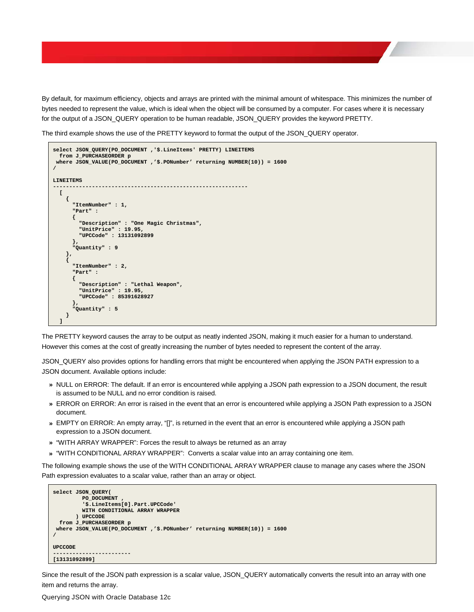By default, for maximum efficiency, objects and arrays are printed with the minimal amount of whitespace. This minimizes the number of bytes needed to represent the value, which is ideal when the object will be consumed by a computer. For cases where it is necessary for the output of a JSON\_QUERY operation to be human readable, JSON\_QUERY provides the keyword PRETTY.

The third example shows the use of the PRETTY keyword to format the output of the JSON\_QUERY operator.

```
select JSON_QUERY(PO_DOCUMENT ,'$.LineItems' PRETTY) LINEITEMS
   from J_PURCHASEORDER p 
 where JSON_VALUE(PO_DOCUMENT ,'$.PONumber' returning NUMBER(10)) = 1600
/
LINEITEMS
------------------------------------------------------------
   [
     {
       "ItemNumber" : 1,
        "Part" :
       {
          "Description" : "One Magic Christmas",
 "UnitPrice" : 19.95,
 "UPCCode" : 13131092899
       },
        "Quantity" : 9
     },
     {
        "ItemNumber" : 2,
        "Part" :
       {
          "Description" : "Lethal Weapon",
 "UnitPrice" : 19.95,
 "UPCCode" : 85391628927
 },
        "Quantity" : 5
     }
   ]
```
The PRETTY keyword causes the array to be output as neatly indented JSON, making it much easier for a human to understand. However this comes at the cost of greatly increasing the number of bytes needed to represent the content of the array.

JSON\_QUERY also provides options for handling errors that might be encountered when applying the JSON PATH expression to a JSON document. Available options include:

- **»** NULL on ERROR: The default. If an error is encountered while applying a JSON path expression to a JSON document, the result is assumed to be NULL and no error condition is raised.
- **»** ERROR on ERROR: An error is raised in the event that an error is encountered while applying a JSON Path expression to a JSON document.
- **»** EMPTY on ERROR: An empty array, "[]", is returned in the event that an error is encountered while applying a JSON path expression to a JSON document.
- **»** "WITH ARRAY WRAPPER": Forces the result to always be returned as an array
- **»** "WITH CONDITIONAL ARRAY WRAPPER": Converts a scalar value into an array containing one item.

The following example shows the use of the WITH CONDITIONAL ARRAY WRAPPER clause to manage any cases where the JSON Path expression evaluates to a scalar value, rather than an array or object.

```
select JSON_QUERY(
          PO_DOCUMENT ,
           '$.LineItems[0].Part.UPCCode' 
          WITH CONDITIONAL ARRAY WRAPPER
        ) UPCCODE
  from J_PURCHASEORDER p
where JSON_VALUE(PO_DOCUMENT ,'$.PONumber' returning NUMBER(10)) = 1600
/
UPCCODE
------------------------
[13131092899]
```
Since the result of the JSON path expression is a scalar value, JSON\_QUERY automatically converts the result into an array with one item and returns the array.

Querying JSON with Oracle Database 12c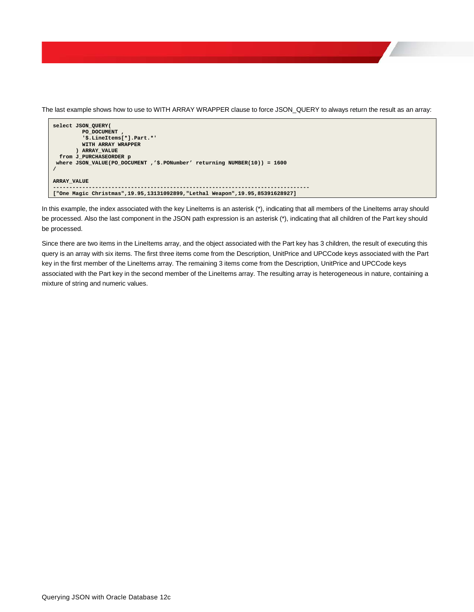The last example shows how to use to WITH ARRAY WRAPPER clause to force JSON\_QUERY to always return the result as an array:

```
select JSON_QUERY(
             PO_DOCUMENT ,
             '$.LineItems[*].Part.*' 
            WITH ARRAY WRAPPER
          ) ARRAY_VALUE
   from J_PURCHASEORDER p
 where JSON_VALUE(PO_DOCUMENT ,'$.PONumber' returning NUMBER(10)) = 1600
/
ARRAY_VALUE
-------------------------------------------------------------------------------
["One Magic Christmas",19.95,13131092899,"Lethal Weapon",19.95,85391628927]
```
In this example, the index associated with the key LineItems is an asterisk (\*), indicating that all members of the LineItems array should be processed. Also the last component in the JSON path expression is an asterisk (\*), indicating that all children of the Part key should be processed.

Since there are two items in the LineItems array, and the object associated with the Part key has 3 children, the result of executing this query is an array with six items. The first three items come from the Description, UnitPrice and UPCCode keys associated with the Part key in the first member of the LineItems array. The remaining 3 items come from the Description, UnitPrice and UPCCode keys associated with the Part key in the second member of the LineItems array. The resulting array is heterogeneous in nature, containing a mixture of string and numeric values.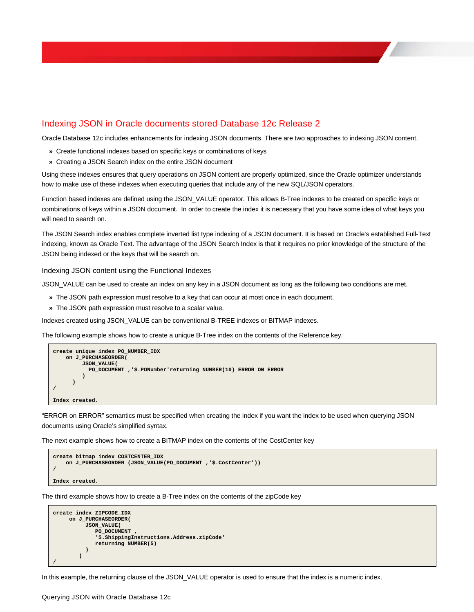### <span id="page-22-0"></span>Indexing JSON in Oracle documents stored Database 12c Release 2

Oracle Database 12c includes enhancements for indexing JSON documents. There are two approaches to indexing JSON content.

- **»** Create functional indexes based on specific keys or combinations of keys
- **»** Creating a JSON Search index on the entire JSON document

Using these indexes ensures that query operations on JSON content are properly optimized, since the Oracle optimizer understands how to make use of these indexes when executing queries that include any of the new SQL/JSON operators.

Function based indexes are defined using the JSON\_VALUE operator. This allows B-Tree indexes to be created on specific keys or combinations of keys within a JSON document. In order to create the index it is necessary that you have some idea of what keys you will need to search on.

The JSON Search index enables complete inverted list type indexing of a JSON document. It is based on Oracle's established Full-Text indexing, known as Oracle Text. The advantage of the JSON Search Index is that it requires no prior knowledge of the structure of the JSON being indexed or the keys that will be search on.

#### <span id="page-22-1"></span>Indexing JSON content using the Functional Indexes

JSON\_VALUE can be used to create an index on any key in a JSON document as long as the following two conditions are met.

- **»** The JSON path expression must resolve to a key that can occur at most once in each document.
- **»** The JSON path expression must resolve to a scalar value.

Indexes created using JSON\_VALUE can be conventional B-TREE indexes or BITMAP indexes.

The following example shows how to create a unique B-Tree index on the contents of the Reference key.

```
create unique index PO_NUMBER_IDX
    on J_PURCHASEORDER(
         JSON_VALUE(
         PO_DOCUMENT ,'$.PONumber'returning NUMBER(10) ERROR ON ERROR
 )
       )
/
Index created.
```
"ERROR on ERROR" semantics must be specified when creating the index if you want the index to be used when querying JSON documents using Oracle's simplified syntax.

The next example shows how to create a BITMAP index on the contents of the CostCenter key

```
create bitmap index COSTCENTER_IDX 
    on J_PURCHASEORDER (JSON_VALUE(PO_DOCUMENT ,'$.CostCenter'))
/
Index created.
```
The third example shows how to create a B-Tree index on the contents of the zipCode key

```
create index ZIPCODE_IDX
     on J_PURCHASEORDER(
          JSON_VALUE(
             PO_DOCUMENT ,
             '$.ShippingInstructions.Address.zipCode'
             returning NUMBER(5)
 )
 )
/
```
In this example, the returning clause of the JSON\_VALUE operator is used to ensure that the index is a numeric index.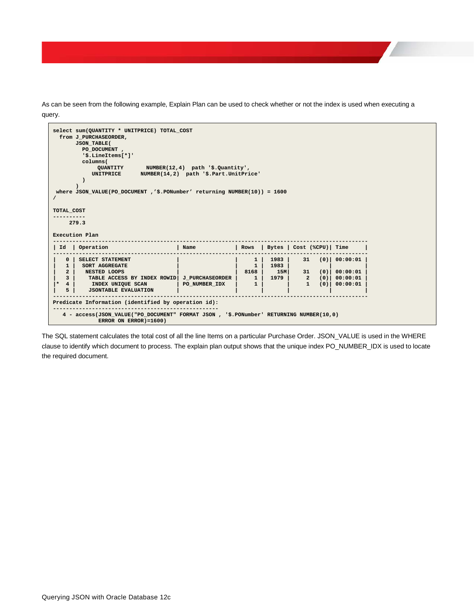As can be seen from the following example, Explain Plan can be used to check whether or not the index is used when executing a query.



The SQL statement calculates the total cost of all the line Items on a particular Purchase Order. JSON\_VALUE is used in the WHERE clause to identify which document to process. The explain plan output shows that the unique index PO\_NUMBER\_IDX is used to locate the required document.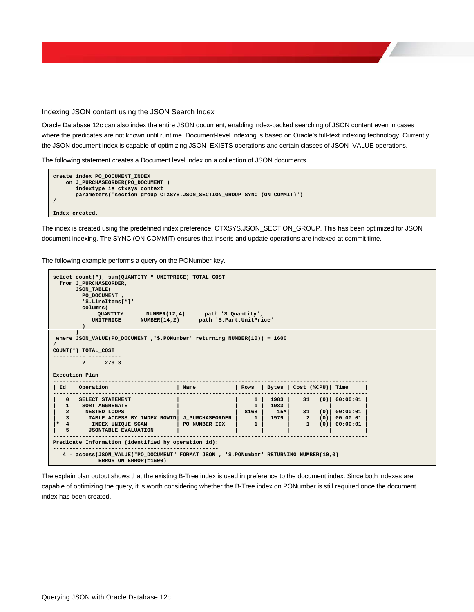#### <span id="page-24-0"></span>Indexing JSON content using the JSON Search Index

Oracle Database 12c can also index the entire JSON document, enabling index-backed searching of JSON content even in cases where the predicates are not known until runtime. Document-level indexing is based on Oracle's full-text indexing technology. Currently the JSON document index is capable of optimizing JSON\_EXISTS operations and certain classes of JSON\_VALUE operations.

The following statement creates a Document level index on a collection of JSON documents.

| create index PO DOCUMENT INDEX                                         |
|------------------------------------------------------------------------|
| on J PURCHASEORDER (PO DOCUMENT)                                       |
| indextype is ctxsys.context                                            |
| parameters('section group CTXSYS.JSON SECTION GROUP SYNC (ON COMMIT)') |
|                                                                        |
|                                                                        |
| Index created.                                                         |

The index is created using the predefined index preference: CTXSYS.JSON\_SECTION\_GROUP. This has been optimized for JSON document indexing. The SYNC (ON COMMIT) ensures that inserts and update operations are indexed at commit time.

The following example performs a query on the PONumber key.

```
select count(*), sum(QUANTITY * UNITPRICE) TOTAL_COST
  from J_PURCHASEORDER,
        JSON_TABLE(
         PO_DOCUMENT ,
          '$.LineItems[*]'
         columns(
QUANTITY NUMBER(12,4) path '$.Quantity',
 UNITPRICE NUMBER(14,2) path '$.Part.UnitPrice'
 ) 
 )
where JSON_VALUE(PO_DOCUMENT ,'$.PONumber' returning NUMBER(10)) = 1600
/
COUNT(*) TOTAL_COST
---------- ----------
          2 279.3
Execution Plan
-------------------------------------------------------------------------------------------------
| Id | Operation | Name | Rows | Bytes | Cost (%CPU)| Time |
-------------------------------------------------------------------------------------------------
   | 0 | SELECT STATEMENT | | 1 | 1983 | 31 (0)| 00:00:01 |
| 1 | SORT AGGREGATE | | 1 | 1983 | | |
| 2 | NESTED LOOPS | | 8168 | 15M| 31 (0)| 00:00:01 |
| 3 | TABLE ACCESS BY INDEX ROWID| J_PURCHASEORDER | 1 | 1979 | 2 (0)| 00:00:01 |
|* 4 | INDEX UNIQUE SCAN | PO_NUMBER_IDX | 1 | | 1 (0)| 00:00:01 |
   | 5 | JSONTABLE EVALUATION | | | | | |
-------------------------------------------------------------------------------------------------
Predicate Information (identified by operation id):
---------------------------------------------------
 4 - access(JSON_VALUE("PO_DOCUMENT" FORMAT JSON , '$.PONumber' RETURNING NUMBER(10,0)
               ERROR ON ERROR)=1600)
```
The explain plan output shows that the existing B-Tree index is used in preference to the document index. Since both indexes are capable of optimizing the query, it is worth considering whether the B-Tree index on PONumber is still required once the document index has been created.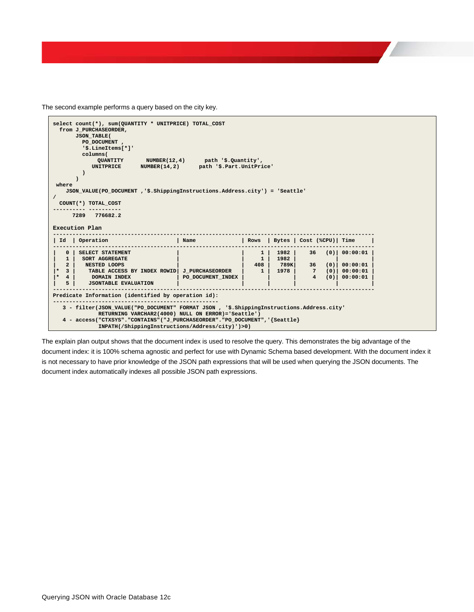The second example performs a query based on the city key.



The explain plan output shows that the document index is used to resolve the query. This demonstrates the big advantage of the document index: it is 100% schema agnostic and perfect for use with Dynamic Schema based development. With the document index it is not necessary to have prior knowledge of the JSON path expressions that will be used when querying the JSON documents. The document index automatically indexes all possible JSON path expressions.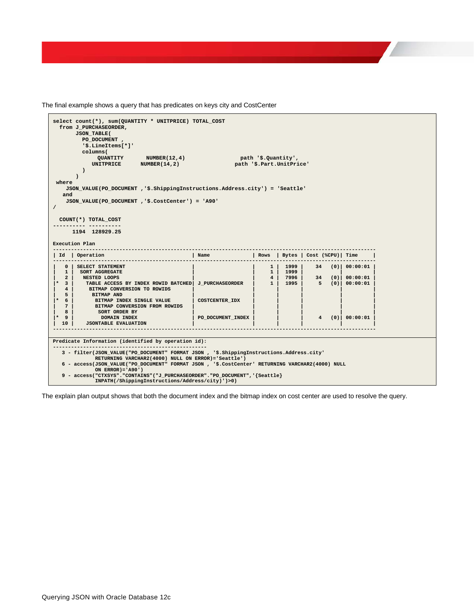The final example shows a query that has predicates on keys city and CostCenter

| select count(*), sum(QUANTITY * UNITPRICE) TOTAL COST                                          |                                           |                          |                    |  |                              |  |
|------------------------------------------------------------------------------------------------|-------------------------------------------|--------------------------|--------------------|--|------------------------------|--|
| from J PURCHASEORDER,                                                                          |                                           |                          |                    |  |                              |  |
| <b>JSON TABLE(</b>                                                                             |                                           |                          |                    |  |                              |  |
| PO DOCUMENT,<br>'\$.LineItems[*]'                                                              |                                           |                          |                    |  |                              |  |
|                                                                                                |                                           |                          |                    |  |                              |  |
| columns (                                                                                      | path '\$.Quantity',                       |                          |                    |  |                              |  |
| QUANTITY NUMBER(12,4)                                                                          |                                           | path '\$.Part.UnitPrice' |                    |  |                              |  |
| UNITPRICE $NUMBER(14,2)$<br>$\lambda$                                                          |                                           |                          |                    |  |                              |  |
|                                                                                                |                                           |                          |                    |  |                              |  |
| where                                                                                          |                                           |                          |                    |  |                              |  |
| JSON VALUE(PO DOCUMENT, '\$. ShippingInstructions. Address.city') = 'Seattle'                  |                                           |                          |                    |  |                              |  |
| and                                                                                            |                                           |                          |                    |  |                              |  |
| JSON VALUE(PO DOCUMENT, '\$.CostCenter') = 'A90'                                               |                                           |                          |                    |  |                              |  |
| $\prime$                                                                                       |                                           |                          |                    |  |                              |  |
|                                                                                                |                                           |                          |                    |  |                              |  |
| COUNT (*) TOTAL_COST                                                                           |                                           |                          |                    |  |                              |  |
|                                                                                                |                                           |                          |                    |  |                              |  |
| 1194 128929.25                                                                                 |                                           |                          |                    |  |                              |  |
|                                                                                                |                                           |                          |                    |  |                              |  |
| Execution Plan                                                                                 |                                           |                          |                    |  |                              |  |
|                                                                                                |                                           |                          |                    |  |                              |  |
| Id   Operation                                                                                 | Rows   Bytes   Cost (%CPU)   Time<br>Name |                          |                    |  |                              |  |
|                                                                                                |                                           |                          |                    |  |                              |  |
| 0 SELECT STATEMENT                                                                             |                                           |                          |                    |  | 1   1999   34 (0)   00:00:01 |  |
| 1   SORT AGGREGATE                                                                             |                                           |                          | $1 \mid 1999 \mid$ |  |                              |  |
| 2   NESTED LOOPS                                                                               |                                           |                          |                    |  | 4   7996   34 (0)   00:00:01 |  |
| $*$ 3<br>TABLE ACCESS BY INDEX ROWID BATCHED  J PURCHASEORDER                                  |                                           |                          | 1   1995           |  | $5(0)$ 00:00:01              |  |
| 4 <sup>1</sup><br>BITMAP CONVERSION TO ROWIDS                                                  |                                           |                          |                    |  |                              |  |
| 5 <sup>1</sup><br><b>BITMAP AND</b>                                                            |                                           |                          |                    |  |                              |  |
| $* 6$<br>BITMAP INDEX SINGLE VALUE<br><b>7</b> l<br>BITMAP CONVERSION FROM ROWIDS              | COSTCENTER IDX                            |                          |                    |  |                              |  |
| 8 <sup>1</sup><br>SORT ORDER BY                                                                |                                           |                          |                    |  |                              |  |
| $* 91$<br>DOMAIN INDEX                                                                         | PO DOCUMENT INDEX                         |                          |                    |  | $4$ (0) 00:00:01             |  |
| 10<br><b>JSONTABLE EVALUATION</b>                                                              |                                           |                          |                    |  |                              |  |
|                                                                                                |                                           |                          |                    |  |                              |  |
|                                                                                                |                                           |                          |                    |  |                              |  |
| Predicate Information (identified by operation id):                                            |                                           |                          |                    |  |                              |  |
| --------------------------------------                                                         |                                           |                          |                    |  |                              |  |
| 3 - filter(JSON VALUE("PO DOCUMENT" FORMAT JSON, '\$.ShippingInstructions.Address.city'        |                                           |                          |                    |  |                              |  |
| RETURNING VARCHAR2(4000) NULL ON ERROR)='Seattle')                                             |                                           |                          |                    |  |                              |  |
| 6 - access(JSON VALUE("PO DOCUMENT" FORMAT JSON, '\$.CostCenter' RETURNING VARCHAR2(4000) NULL |                                           |                          |                    |  |                              |  |
| ON ERROR) = $'AD()$                                                                            |                                           |                          |                    |  |                              |  |
| 9 - access("CTXSYS"."CONTAINS"("J PURCHASEORDER"."PO DOCUMENT",'{Seattle}                      |                                           |                          |                    |  |                              |  |
| INPATH(/ShippingInstructions/Address/city)')>0)                                                |                                           |                          |                    |  |                              |  |

The explain plan output shows that both the document index and the bitmap index on cost center are used to resolve the query.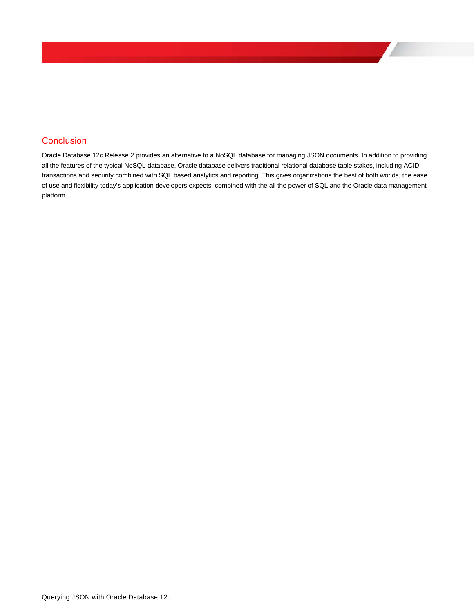# <span id="page-27-0"></span>**Conclusion**

Oracle Database 12c Release 2 provides an alternative to a NoSQL database for managing JSON documents. In addition to providing all the features of the typical NoSQL database, Oracle database delivers traditional relational database table stakes, including ACID transactions and security combined with SQL based analytics and reporting. This gives organizations the best of both worlds, the ease of use and flexibility today's application developers expects, combined with the all the power of SQL and the Oracle data management platform.